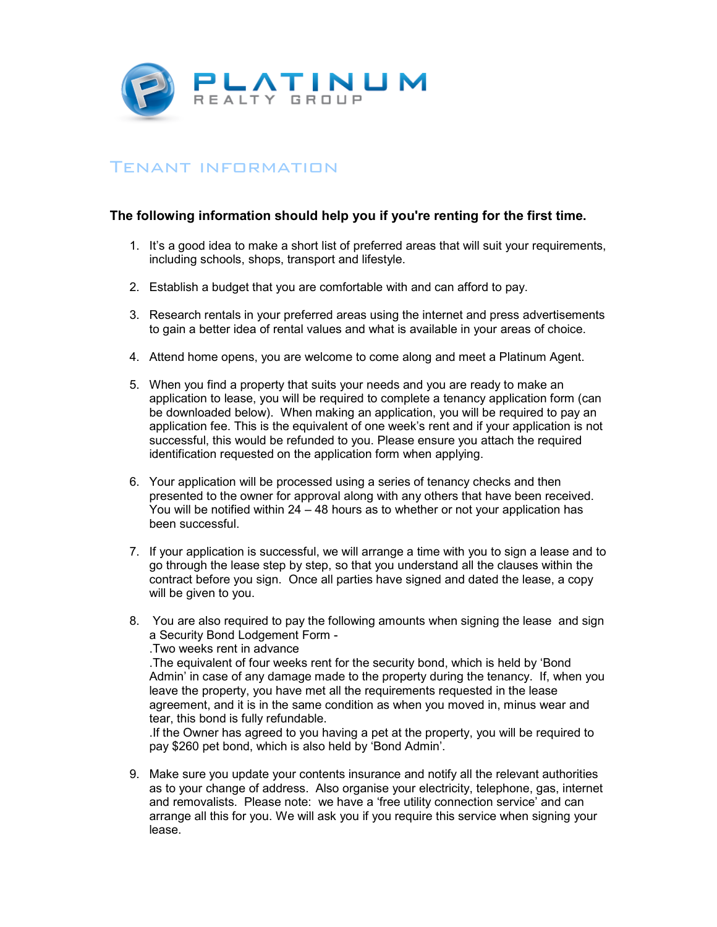

## Tenant information

## **The following information should help you if you're renting for the first time.**

- 1. It's a good idea to make a short list of preferred areas that will suit your requirements, including schools, shops, transport and lifestyle.
- 2. Establish a budget that you are comfortable with and can afford to pay.
- 3. Research rentals in your preferred areas using the internet and press advertisements to gain a better idea of rental values and what is available in your areas of choice.
- 4. Attend home opens, you are welcome to come along and meet a Platinum Agent.
- 5. When you find a property that suits your needs and you are ready to make an application to lease, you will be required to complete a tenancy application form (can be downloaded below). When making an application, you will be required to pay an application fee. This is the equivalent of one week's rent and if your application is not successful, this would be refunded to you. Please ensure you attach the required identification requested on the application form when applying.
- 6. Your application will be processed using a series of tenancy checks and then presented to the owner for approval along with any others that have been received. You will be notified within 24 – 48 hours as to whether or not your application has been successful.
- 7. If your application is successful, we will arrange a time with you to sign a lease and to go through the lease step by step, so that you understand all the clauses within the contract before you sign. Once all parties have signed and dated the lease, a copy will be given to you.
- 8. You are also required to pay the following amounts when signing the lease and sign a Security Bond Lodgement Form - .Two weeks rent in advance

.The equivalent of four weeks rent for the security bond, which is held by 'Bond Admin' in case of any damage made to the property during the tenancy. If, when you leave the property, you have met all the requirements requested in the lease agreement, and it is in the same condition as when you moved in, minus wear and tear, this bond is fully refundable.

.If the Owner has agreed to you having a pet at the property, you will be required to pay \$260 pet bond, which is also held by 'Bond Admin'.

9. Make sure you update your contents insurance and notify all the relevant authorities as to your change of address. Also organise your electricity, telephone, gas, internet and removalists. Please note: we have a 'free utility connection service' and can arrange all this for you. We will ask you if you require this service when signing your lease.